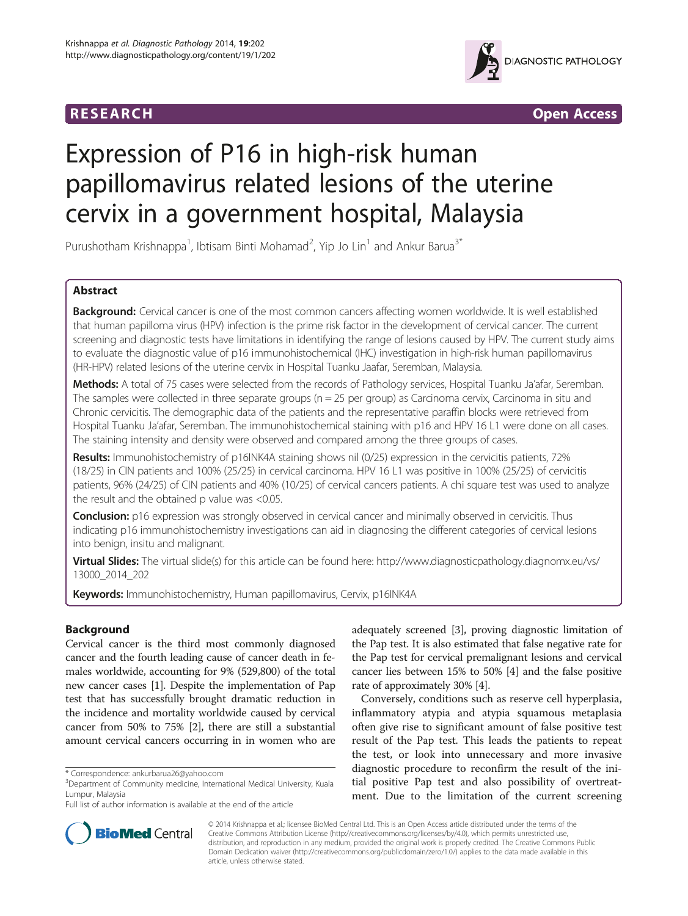# **RESEARCH CONSIDERED ACCESS**



# Expression of P16 in high-risk human papillomavirus related lesions of the uterine cervix in a government hospital, Malaysia

Purushotham Krishnappa<sup>1</sup>, Ibtisam Binti Mohamad<sup>2</sup>, Yip Jo Lin<sup>1</sup> and Ankur Barua<sup>3\*</sup>

# Abstract

Background: Cervical cancer is one of the most common cancers affecting women worldwide. It is well established that human papilloma virus (HPV) infection is the prime risk factor in the development of cervical cancer. The current screening and diagnostic tests have limitations in identifying the range of lesions caused by HPV. The current study aims to evaluate the diagnostic value of p16 immunohistochemical (IHC) investigation in high-risk human papillomavirus (HR-HPV) related lesions of the uterine cervix in Hospital Tuanku Jaafar, Seremban, Malaysia.

Methods: A total of 75 cases were selected from the records of Pathology services, Hospital Tuanku Ja'afar, Seremban. The samples were collected in three separate groups  $(n = 25$  per group) as Carcinoma cervix, Carcinoma in situ and Chronic cervicitis. The demographic data of the patients and the representative paraffin blocks were retrieved from Hospital Tuanku Ja'afar, Seremban. The immunohistochemical staining with p16 and HPV 16 L1 were done on all cases. The staining intensity and density were observed and compared among the three groups of cases.

Results: Immunohistochemistry of p16INK4A staining shows nil (0/25) expression in the cervicitis patients, 72% (18/25) in CIN patients and 100% (25/25) in cervical carcinoma. HPV 16 L1 was positive in 100% (25/25) of cervicitis patients, 96% (24/25) of CIN patients and 40% (10/25) of cervical cancers patients. A chi square test was used to analyze the result and the obtained p value was <0.05.

**Conclusion:** p16 expression was strongly observed in cervical cancer and minimally observed in cervicitis. Thus indicating p16 immunohistochemistry investigations can aid in diagnosing the different categories of cervical lesions into benign, insitu and malignant.

Virtual Slides: The virtual slide(s) for this article can be found here: [http://www.diagnosticpathology.diagnomx.eu/vs/](http://www.diagnosticpathology.diagnomx.eu/vs/13000_2014_202) [13000\\_2014\\_202](http://www.diagnosticpathology.diagnomx.eu/vs/13000_2014_202)

**Keywords:** Immunohistochemistry, Human papillomavirus, Cervix, p16INK4A

# Background

Cervical cancer is the third most commonly diagnosed cancer and the fourth leading cause of cancer death in females worldwide, accounting for 9% (529,800) of the total new cancer cases [[1](#page-4-0)]. Despite the implementation of Pap test that has successfully brought dramatic reduction in the incidence and mortality worldwide caused by cervical cancer from 50% to 75% [\[2](#page-4-0)], there are still a substantial amount cervical cancers occurring in in women who are

adequately screened [[3\]](#page-4-0), proving diagnostic limitation of the Pap test. It is also estimated that false negative rate for the Pap test for cervical premalignant lesions and cervical cancer lies between 15% to 50% [\[4](#page-4-0)] and the false positive rate of approximately 30% [[4](#page-4-0)].

Conversely, conditions such as reserve cell hyperplasia, inflammatory atypia and atypia squamous metaplasia often give rise to significant amount of false positive test result of the Pap test. This leads the patients to repeat the test, or look into unnecessary and more invasive diagnostic procedure to reconfirm the result of the initial positive Pap test and also possibility of overtreatment. Due to the limitation of the current screening



© 2014 Krishnappa et al.; licensee BioMed Central Ltd. This is an Open Access article distributed under the terms of the Creative Commons Attribution License (<http://creativecommons.org/licenses/by/4.0>), which permits unrestricted use, distribution, and reproduction in any medium, provided the original work is properly credited. The Creative Commons Public Domain Dedication waiver [\(http://creativecommons.org/publicdomain/zero/1.0/\)](http://creativecommons.org/publicdomain/zero/1.0/) applies to the data made available in this article, unless otherwise stated.

<sup>\*</sup> Correspondence: [ankurbarua26@yahoo.com](mailto:ankurbarua26@yahoo.com) <sup>3</sup>

<sup>&</sup>lt;sup>3</sup>Department of Community medicine, International Medical University, Kuala Lumpur, Malaysia

Full list of author information is available at the end of the article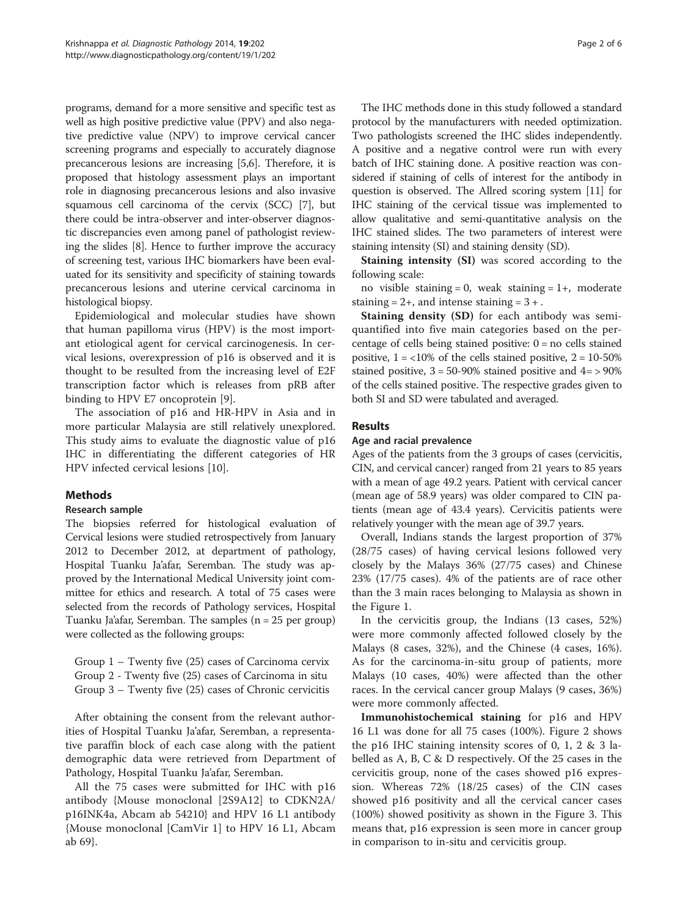programs, demand for a more sensitive and specific test as well as high positive predictive value (PPV) and also negative predictive value (NPV) to improve cervical cancer screening programs and especially to accurately diagnose precancerous lesions are increasing [\[5,6](#page-4-0)]. Therefore, it is proposed that histology assessment plays an important role in diagnosing precancerous lesions and also invasive squamous cell carcinoma of the cervix (SCC) [[7\]](#page-4-0), but there could be intra-observer and inter-observer diagnostic discrepancies even among panel of pathologist reviewing the slides [\[8](#page-4-0)]. Hence to further improve the accuracy of screening test, various IHC biomarkers have been evaluated for its sensitivity and specificity of staining towards precancerous lesions and uterine cervical carcinoma in histological biopsy.

Epidemiological and molecular studies have shown that human papilloma virus (HPV) is the most important etiological agent for cervical carcinogenesis. In cervical lesions, overexpression of p16 is observed and it is thought to be resulted from the increasing level of E2F transcription factor which is releases from pRB after binding to HPV E7 oncoprotein [[9\]](#page-4-0).

The association of p16 and HR-HPV in Asia and in more particular Malaysia are still relatively unexplored. This study aims to evaluate the diagnostic value of p16 IHC in differentiating the different categories of HR HPV infected cervical lesions [[10\]](#page-4-0).

# Methods

# Research sample

The biopsies referred for histological evaluation of Cervical lesions were studied retrospectively from January 2012 to December 2012, at department of pathology, Hospital Tuanku Ja'afar, Seremban. The study was approved by the International Medical University joint committee for ethics and research. A total of 75 cases were selected from the records of Pathology services, Hospital Tuanku Ja'afar, Seremban. The samples (n = 25 per group) were collected as the following groups:

Group 1 – Twenty five (25) cases of Carcinoma cervix Group 2 - Twenty five (25) cases of Carcinoma in situ Group 3 – Twenty five (25) cases of Chronic cervicitis

After obtaining the consent from the relevant authorities of Hospital Tuanku Ja'afar, Seremban, a representative paraffin block of each case along with the patient demographic data were retrieved from Department of Pathology, Hospital Tuanku Ja'afar, Seremban.

All the 75 cases were submitted for IHC with p16 antibody {Mouse monoclonal [2S9A12] to CDKN2A/ p16INK4a, Abcam ab 54210} and HPV 16 L1 antibody {Mouse monoclonal [CamVir 1] to HPV 16 L1, Abcam ab 69}.

The IHC methods done in this study followed a standard protocol by the manufacturers with needed optimization. Two pathologists screened the IHC slides independently. A positive and a negative control were run with every batch of IHC staining done. A positive reaction was considered if staining of cells of interest for the antibody in question is observed. The Allred scoring system [\[11\]](#page-4-0) for IHC staining of the cervical tissue was implemented to allow qualitative and semi-quantitative analysis on the IHC stained slides. The two parameters of interest were staining intensity (SI) and staining density (SD).

Staining intensity (SI) was scored according to the following scale:

no visible staining = 0, weak staining =  $1+$ , moderate staining  $= 2 +$ , and intense staining  $= 3 +$ .

Staining density (SD) for each antibody was semiquantified into five main categories based on the percentage of cells being stained positive:  $0 =$  no cells stained positive,  $1 = <10\%$  of the cells stained positive,  $2 = 10-50\%$ stained positive,  $3 = 50 - 90\%$  stained positive and  $4 = 90\%$ of the cells stained positive. The respective grades given to both SI and SD were tabulated and averaged.

# Results

# Age and racial prevalence

Ages of the patients from the 3 groups of cases (cervicitis, CIN, and cervical cancer) ranged from 21 years to 85 years with a mean of age 49.2 years. Patient with cervical cancer (mean age of 58.9 years) was older compared to CIN patients (mean age of 43.4 years). Cervicitis patients were relatively younger with the mean age of 39.7 years.

Overall, Indians stands the largest proportion of 37% (28/75 cases) of having cervical lesions followed very closely by the Malays 36% (27/75 cases) and Chinese 23% (17/75 cases). 4% of the patients are of race other than the 3 main races belonging to Malaysia as shown in the Figure [1](#page-2-0).

In the cervicitis group, the Indians (13 cases, 52%) were more commonly affected followed closely by the Malays (8 cases, 32%), and the Chinese (4 cases, 16%). As for the carcinoma-in-situ group of patients, more Malays (10 cases, 40%) were affected than the other races. In the cervical cancer group Malays (9 cases, 36%) were more commonly affected.

Immunohistochemical staining for p16 and HPV 16 L1 was done for all 75 cases (100%). Figure [2](#page-2-0) shows the p16 IHC staining intensity scores of 0, 1, 2 & 3 labelled as A, B, C & D respectively. Of the 25 cases in the cervicitis group, none of the cases showed p16 expression. Whereas 72% (18/25 cases) of the CIN cases showed p16 positivity and all the cervical cancer cases (100%) showed positivity as shown in the Figure [3.](#page-3-0) This means that, p16 expression is seen more in cancer group in comparison to in-situ and cervicitis group.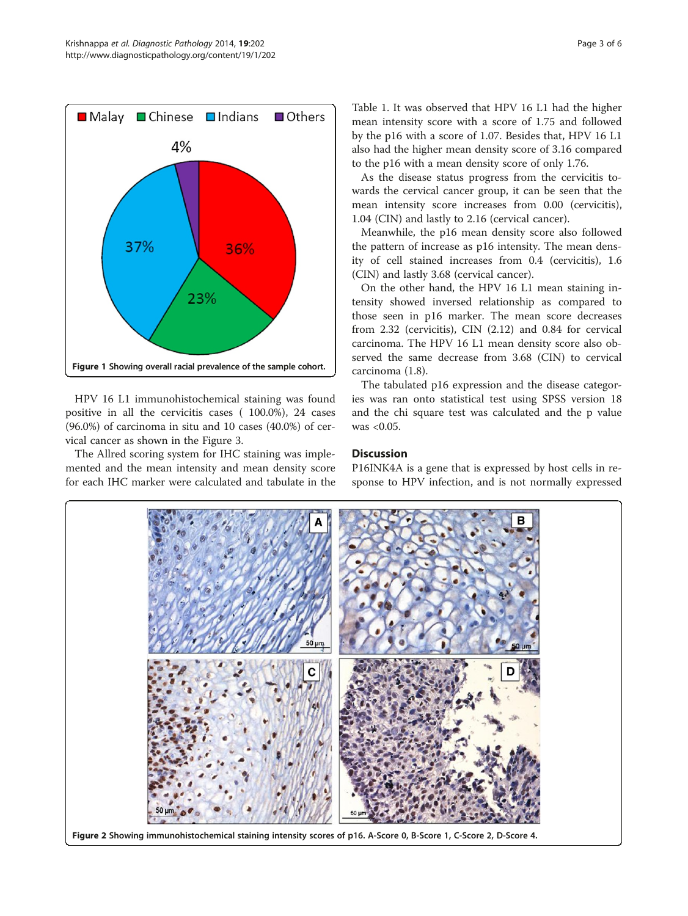<span id="page-2-0"></span>

HPV 16 L1 immunohistochemical staining was found positive in all the cervicitis cases ( 100.0%), 24 cases (96.0%) of carcinoma in situ and 10 cases (40.0%) of cervical cancer as shown in the Figure [3.](#page-3-0)

The Allred scoring system for IHC staining was implemented and the mean intensity and mean density score for each IHC marker were calculated and tabulate in the

Table [1](#page-3-0). It was observed that HPV 16 L1 had the higher mean intensity score with a score of 1.75 and followed by the p16 with a score of 1.07. Besides that, HPV 16 L1 also had the higher mean density score of 3.16 compared to the p16 with a mean density score of only 1.76.

As the disease status progress from the cervicitis towards the cervical cancer group, it can be seen that the mean intensity score increases from 0.00 (cervicitis), 1.04 (CIN) and lastly to 2.16 (cervical cancer).

Meanwhile, the p16 mean density score also followed the pattern of increase as p16 intensity. The mean density of cell stained increases from 0.4 (cervicitis), 1.6 (CIN) and lastly 3.68 (cervical cancer).

On the other hand, the HPV 16 L1 mean staining intensity showed inversed relationship as compared to those seen in p16 marker. The mean score decreases from 2.32 (cervicitis), CIN (2.12) and 0.84 for cervical carcinoma. The HPV 16 L1 mean density score also observed the same decrease from 3.68 (CIN) to cervical carcinoma (1.8).

The tabulated p16 expression and the disease categories was ran onto statistical test using SPSS version 18 and the chi square test was calculated and the p value was <0.05.

# **Discussion**

P16INK4A is a gene that is expressed by host cells in response to HPV infection, and is not normally expressed

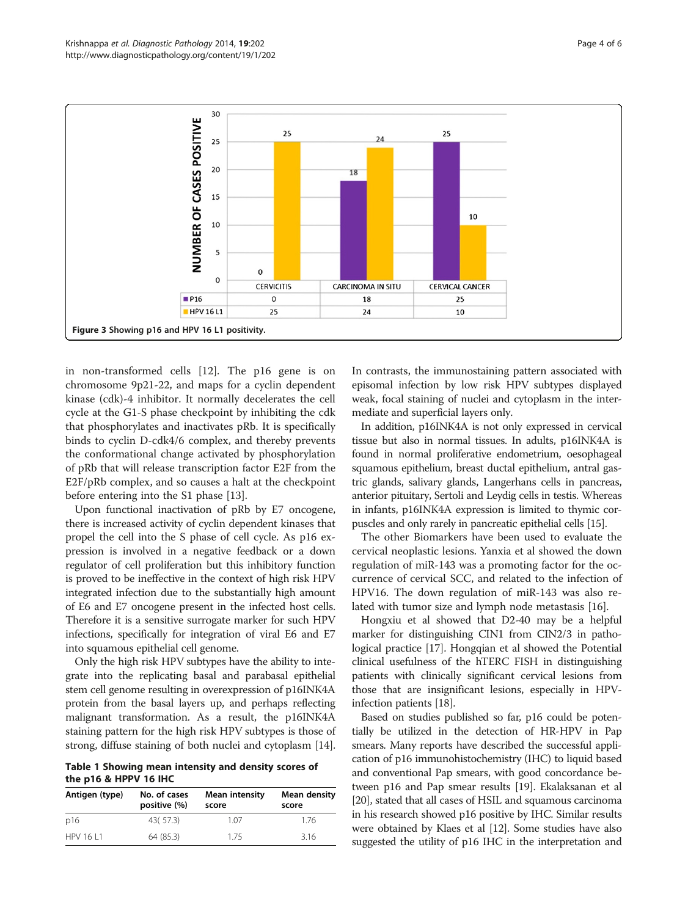<span id="page-3-0"></span>

in non-transformed cells [[12\]](#page-4-0). The p16 gene is on chromosome 9p21-22, and maps for a cyclin dependent kinase (cdk)-4 inhibitor. It normally decelerates the cell cycle at the G1-S phase checkpoint by inhibiting the cdk that phosphorylates and inactivates pRb. It is specifically binds to cyclin D-cdk4/6 complex, and thereby prevents the conformational change activated by phosphorylation of pRb that will release transcription factor E2F from the E2F/pRb complex, and so causes a halt at the checkpoint before entering into the S1 phase [\[13\]](#page-4-0).

Upon functional inactivation of pRb by E7 oncogene, there is increased activity of cyclin dependent kinases that propel the cell into the S phase of cell cycle. As p16 expression is involved in a negative feedback or a down regulator of cell proliferation but this inhibitory function is proved to be ineffective in the context of high risk HPV integrated infection due to the substantially high amount of E6 and E7 oncogene present in the infected host cells. Therefore it is a sensitive surrogate marker for such HPV infections, specifically for integration of viral E6 and E7 into squamous epithelial cell genome.

Only the high risk HPV subtypes have the ability to integrate into the replicating basal and parabasal epithelial stem cell genome resulting in overexpression of p16INK4A protein from the basal layers up, and perhaps reflecting malignant transformation. As a result, the p16INK4A staining pattern for the high risk HPV subtypes is those of strong, diffuse staining of both nuclei and cytoplasm [[14](#page-4-0)].

Table 1 Showing mean intensity and density scores of the p16 & HPPV 16 IHC

| Antigen (type) | No. of cases<br>positive (%) | <b>Mean intensity</b><br>score | Mean density<br>score |
|----------------|------------------------------|--------------------------------|-----------------------|
| p16            | 43(57.3)                     | 1.07                           | 1.76                  |
| HPV 16   1     | 64 (85.3)                    | 175                            | 3.16                  |

In contrasts, the immunostaining pattern associated with episomal infection by low risk HPV subtypes displayed weak, focal staining of nuclei and cytoplasm in the intermediate and superficial layers only.

In addition, p16INK4A is not only expressed in cervical tissue but also in normal tissues. In adults, p16INK4A is found in normal proliferative endometrium, oesophageal squamous epithelium, breast ductal epithelium, antral gastric glands, salivary glands, Langerhans cells in pancreas, anterior pituitary, Sertoli and Leydig cells in testis. Whereas in infants, p16INK4A expression is limited to thymic corpuscles and only rarely in pancreatic epithelial cells [\[15\]](#page-4-0).

The other Biomarkers have been used to evaluate the cervical neoplastic lesions. Yanxia et al showed the down regulation of miR-143 was a promoting factor for the occurrence of cervical SCC, and related to the infection of HPV16. The down regulation of miR-143 was also related with tumor size and lymph node metastasis [\[16](#page-4-0)].

Hongxiu et al showed that D2-40 may be a helpful marker for distinguishing CIN1 from CIN2/3 in pathological practice [[17](#page-4-0)]. Hongqian et al showed the Potential clinical usefulness of the hTERC FISH in distinguishing patients with clinically significant cervical lesions from those that are insignificant lesions, especially in HPVinfection patients [[18](#page-5-0)].

Based on studies published so far, p16 could be potentially be utilized in the detection of HR-HPV in Pap smears. Many reports have described the successful application of p16 immunohistochemistry (IHC) to liquid based and conventional Pap smears, with good concordance between p16 and Pap smear results [\[19\]](#page-5-0). Ekalaksanan et al [[20](#page-5-0)], stated that all cases of HSIL and squamous carcinoma in his research showed p16 positive by IHC. Similar results were obtained by Klaes et al [[12](#page-4-0)]. Some studies have also suggested the utility of p16 IHC in the interpretation and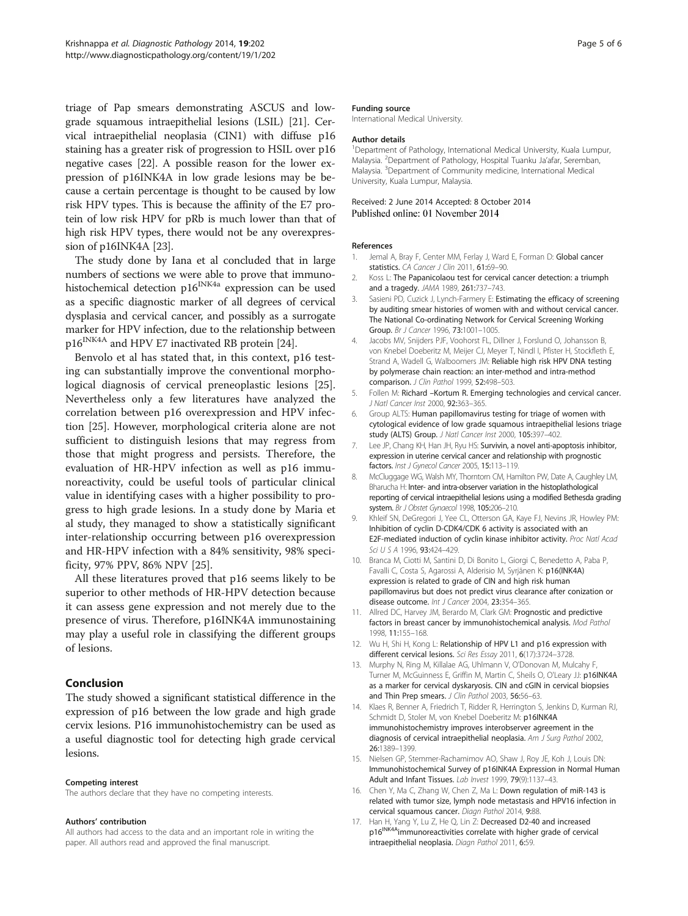<span id="page-4-0"></span>triage of Pap smears demonstrating ASCUS and lowgrade squamous intraepithelial lesions (LSIL) [\[21\]](#page-5-0). Cervical intraepithelial neoplasia (CIN1) with diffuse p16 staining has a greater risk of progression to HSIL over p16 negative cases [[22](#page-5-0)]. A possible reason for the lower expression of p16INK4A in low grade lesions may be because a certain percentage is thought to be caused by low risk HPV types. This is because the affinity of the E7 protein of low risk HPV for pRb is much lower than that of high risk HPV types, there would not be any overexpression of p16INK4A [\[23\]](#page-5-0).

The study done by Iana et al concluded that in large numbers of sections we were able to prove that immunohistochemical detection  $p16^{INK4a}$  expression can be used as a specific diagnostic marker of all degrees of cervical dysplasia and cervical cancer, and possibly as a surrogate marker for HPV infection, due to the relationship between p16<sup>INK4A</sup> and HPV E7 inactivated RB protein [[24](#page-5-0)].

Benvolo et al has stated that, in this context, p16 testing can substantially improve the conventional morphological diagnosis of cervical preneoplastic lesions [\[25](#page-5-0)]. Nevertheless only a few literatures have analyzed the correlation between p16 overexpression and HPV infection [[25\]](#page-5-0). However, morphological criteria alone are not sufficient to distinguish lesions that may regress from those that might progress and persists. Therefore, the evaluation of HR-HPV infection as well as p16 immunoreactivity, could be useful tools of particular clinical value in identifying cases with a higher possibility to progress to high grade lesions. In a study done by Maria et al study, they managed to show a statistically significant inter-relationship occurring between p16 overexpression and HR-HPV infection with a 84% sensitivity, 98% specificity, 97% PPV, 86% NPV [[25\]](#page-5-0).

All these literatures proved that p16 seems likely to be superior to other methods of HR-HPV detection because it can assess gene expression and not merely due to the presence of virus. Therefore, p16INK4A immunostaining may play a useful role in classifying the different groups of lesions.

### Conclusion

The study showed a significant statistical difference in the expression of p16 between the low grade and high grade cervix lesions. P16 immunohistochemistry can be used as a useful diagnostic tool for detecting high grade cervical lesions.

#### Competing interest

The authors declare that they have no competing interests.

#### Authors' contribution

All authors had access to the data and an important role in writing the paper. All authors read and approved the final manuscript.

#### Funding source

International Medical University.

#### Author details

<sup>1</sup>Department of Pathology, International Medical University, Kuala Lumpur, Malaysia. <sup>2</sup> Department of Pathology, Hospital Tuanku Ja'afar, Seremban, Malaysia. <sup>3</sup>Department of Community medicine, International Medical University, Kuala Lumpur, Malaysia.

#### Received: 2 June 2014 Accepted: 8 October 2014 Published online: 01 November 2014

#### References

- 1. Jemal A, Bray F, Center MM, Ferlay J, Ward E, Forman D: Global cancer statistics. CA Cancer J Clin 2011, 61:69-90.
- Koss L: The Papanicolaou test for cervical cancer detection: a triumph and a tragedy. JAMA 1989, 261:737–743.
- 3. Sasieni PD, Cuzick J, Lynch-Farmery E: Estimating the efficacy of screening by auditing smear histories of women with and without cervical cancer. The National Co-ordinating Network for Cervical Screening Working Group. Br J Cancer 1996, 73:1001–1005.
- 4. Jacobs MV, Snijders PJF, Voohorst FL, Dillner J, Forslund O, Johansson B, von Knebel Doeberitz M, Meijer CJ, Meyer T, Nindl I, Pfister H, Stockfleth E, Strand A, Wadell G, Walboomers JM: Reliable high risk HPV DNA testing by polymerase chain reaction: an inter-method and intra-method comparison. J Clin Pathol 1999, 52:498–503.
- 5. Follen M: Richard –Kortum R. Emerging technologies and cervical cancer. J Natl Cancer Inst 2000, 92:363–365.
- 6. Group ALTS: Human papillomavirus testing for triage of women with cytological evidence of low grade squamous intraepithelial lesions triage study (ALTS) Group. J Natl Cancer Inst 2000, 105:397-402.
- 7. Lee JP, Chang KH, Han JH, Ryu HS: Survivin, a novel anti-apoptosis inhibitor, expression in uterine cervical cancer and relationship with prognostic factors. Inst J Gynecol Cancer 2005, 15:113–119.
- 8. McCluggage WG, Walsh MY, Thorntorn CM, Hamilton PW, Date A, Caughley LM, Bharucha H: Inter- and intra-observer variation in the histoplathological reporting of cervical intraepithelial lesions using a modified Bethesda grading system. Br J Obstet Gynaecol 1998, 105:206–210.
- 9. Khleif SN, DeGregori J, Yee CL, Otterson GA, Kaye FJ, Nevins JR, Howley PM: Inhibition of cyclin D-CDK4/CDK 6 activity is associated with an E2F-mediated induction of cyclin kinase inhibitor activity. Proc Natl Acad Sci U S A 1996, 93:424–429.
- 10. Branca M, Ciotti M, Santini D, Di Bonito L, Giorgi C, Benedetto A, Paba P, Favalli C, Costa S, Agarossi A, Alderisio M, Syrjänen K: p16(INK4A) expression is related to grade of CIN and high risk human papillomavirus but does not predict virus clearance after conization or disease outcome. Int J Cancer 2004, 23:354–365.
- 11. Allred DC, Harvey JM, Berardo M, Clark GM: Prognostic and predictive factors in breast cancer by immunohistochemical analysis. Mod Pathol 1998, 11:155–168.
- 12. Wu H, Shi H, Kong L: Relationship of HPV L1 and p16 expression with different cervical lesions. Sci Res Essay 2011, 6(17):3724–3728.
- 13. Murphy N, Ring M, Killalae AG, Uhlmann V, O'Donovan M, Mulcahy F, Turner M, McGuinness E, Griffin M, Martin C, Sheils O, O'Leary JJ: p16INK4A as a marker for cervical dyskaryosis. CIN and cGIN in cervical biopsies and Thin Prep smears. J Clin Pathol 2003, 56:56-63.
- 14. Klaes R, Benner A, Friedrich T, Ridder R, Herrington S, Jenkins D, Kurman RJ, Schmidt D, Stoler M, von Knebel Doeberitz M: p16INK4A immunohistochemistry improves interobserver agreement in the diagnosis of cervical intraepithelial neoplasia. Am J Surg Pathol 2002, 26:1389–1399.
- 15. Nielsen GP, Stemmer-Rachamimov AO, Shaw J, Roy JE, Koh J, Louis DN: Immunohistochemical Survey of p16INK4A Expression in Normal Human Adult and Infant Tissues. Lab Invest 1999, 79(9):1137–43.
- 16. Chen Y, Ma C, Zhang W, Chen Z, Ma L: Down regulation of miR-143 is related with tumor size, lymph node metastasis and HPV16 infection in cervical squamous cancer. Diagn Pathol 2014, 9:88.
- 17. Han H, Yang Y, Lu Z, He Q, Lin Z: Decreased D2-40 and increased p16<sup>INK4A</sup>immunoreactivities correlate with higher grade of cervical intraepithelial neoplasia. Diagn Pathol 2011, 6:59.